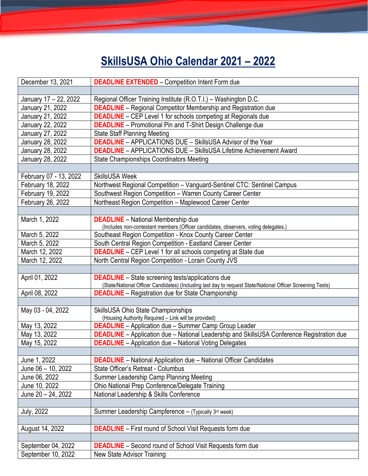## **SkillsUSA Ohio Calendar 2021 – 2022**

| December 13, 2021      | <b>DEADLINE EXTENDED</b> - Competition Intent Form due                                                     |
|------------------------|------------------------------------------------------------------------------------------------------------|
|                        |                                                                                                            |
| January 17 - 22, 2022  | Regional Officer Training Institute (R.O.T.I.) - Washington D.C.                                           |
| January 21, 2022       | <b>DEADLINE</b> - Regional Competitor Membership and Registration due                                      |
| January 21, 2022       | <b>DEADLINE</b> – CEP Level 1 for schools competing at Regionals due                                       |
| January 22, 2022       | <b>DEADLINE</b> - Promotional Pin and T-Shirt Design Challenge due                                         |
| January 27, 2022       | <b>State Staff Planning Meeting</b>                                                                        |
| January 28, 2022       | <b>DEADLINE</b> - APPLICATIONS DUE - SkillsUSA Advisor of the Year                                         |
| January 28, 2022       | <b>DEADLINE</b> - APPLICATIONS DUE - SkillsUSA Lifetime Achievement Award                                  |
| January 28, 2022       | <b>State Championships Coordinators Meeting</b>                                                            |
|                        |                                                                                                            |
| February 07 - 13, 2022 | <b>SkillsUSA Week</b>                                                                                      |
| February 18, 2022      | Northwest Regional Competition - Vanguard-Sentinel CTC: Sentinel Campus                                    |
| February 19, 2022      | Southwest Region Competition - Warren County Career Center                                                 |
| February 26, 2022      | Northeast Region Competition - Maplewood Career Center                                                     |
|                        |                                                                                                            |
| March 1, 2022          | <b>DEADLINE</b> - National Membership due                                                                  |
|                        | (Includes non-contestant members (Officer candidates, observers, voting delegates.)                        |
| March 5, 2022          | Southeast Region Competition - Knox County Career Center                                                   |
| March 5, 2022          | South Central Region Competition - Eastland Career Center                                                  |
| March 12, 2022         | <b>DEADLINE</b> - CEP Level 1 for all schools competing at State due                                       |
| March 12, 2022         | North Central Region Competition - Lorain County JVS                                                       |
|                        |                                                                                                            |
| April 01, 2022         | <b>DEADLINE</b> - State screening tests/applications due                                                   |
|                        | (State/National Officer Candidates) (Including last day to request State/National Officer Screening Tests) |
| April 08, 2022         | <b>DEADLINE</b> – Registration due for State Championship                                                  |
|                        |                                                                                                            |
| May 03 - 04, 2022      | SkillsUSA Ohio State Championships                                                                         |
|                        | (Housing Authority Required - Link will be provided)                                                       |
| May 13, 2022           | <b>DEADLINE</b> - Application due - Summer Camp Group Leader                                               |
| May 13, 2022           | <b>DEADLINE</b> - Application due - National Leadership and SkillsUSA Conference Registration due          |
| May 15, 2022           | <b>DEADLINE</b> – Application due – National Voting Delegates                                              |
|                        |                                                                                                            |
| June 1, 2022           | <b>DEADLINE</b> – National Application due – National Officer Candidates                                   |
| June 06 - 10, 2022     | State Officer's Retreat - Columbus                                                                         |
| June 06, 2022          | Summer Leadership Camp Planning Meeting                                                                    |
| June 10, 2022          | Ohio National Prep Conference/Delegate Training                                                            |
| June 20 - 24, 2022     | National Leadership & Skills Conference                                                                    |
|                        |                                                                                                            |
| <b>July, 2022</b>      | Summer Leadership Campference - (Typically 3rd week)                                                       |
|                        |                                                                                                            |
| August 14, 2022        | <b>DEADLINE</b> – First round of School Visit Requests form due                                            |
|                        |                                                                                                            |
| September 04, 2022     | <b>DEADLINE</b> - Second round of School Visit Requests form due                                           |
| September 10, 2022     | New State Advisor Training                                                                                 |